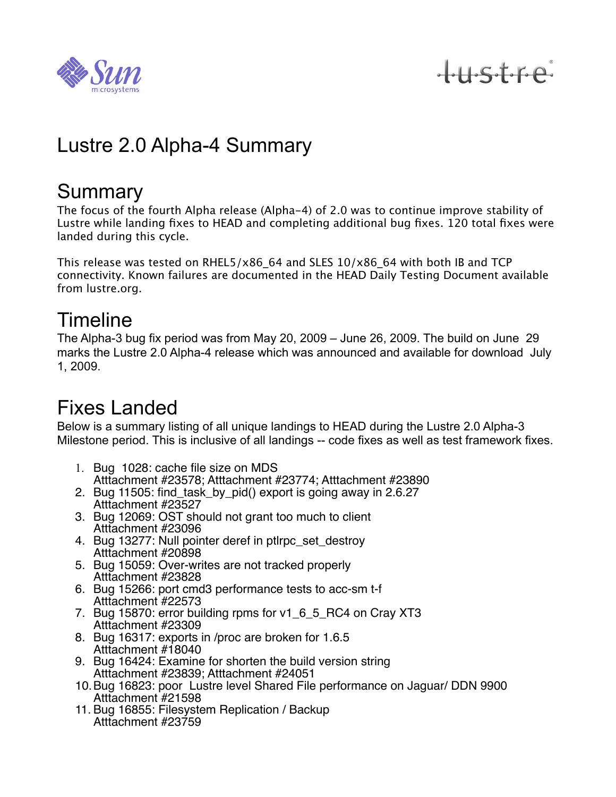

tustre

## Lustre 2.0 Alpha-4 Summary

#### **Summary**

The focus of the fourth Alpha release (Alpha-4) of 2.0 was to continue improve stability of Lustre while landing fixes to HEAD and completing additional bug fixes. 120 total fixes were landed during this cycle.

This release was tested on RHEL5/x86 64 and SLES  $10/x86$  64 with both IB and TCP connectivity. Known failures are documented in the HEAD Daily Testing Document available from lustre.org.

### Timeline

The Alpha-3 bug fix period was from May 20, 2009 – June 26, 2009. The build on June 29 marks the Lustre 2.0 Alpha-4 release which was announced and available for download July 1, 2009.

### Fixes Landed

Below is a summary listing of all unique landings to HEAD during the Lustre 2.0 Alpha-3 Milestone period. This is inclusive of all landings -- code fixes as well as test framework fixes.

- 1. Bug 1028: cache file size on MDS Atttachment #23578; Atttachment #23774; Atttachment #23890
- 2. Bug 11505: find\_task\_by\_pid() export is going away in 2.6.27 Atttachment #23527
- 3. Bug 12069: OST should not grant too much to client Atttachment #23096
- 4. Bug 13277: Null pointer deref in ptlrpc\_set\_destroy Atttachment #20898
- 5. Bug 15059: Over-writes are not tracked properly Atttachment #23828
- 6. Bug 15266: port cmd3 performance tests to acc-sm t-f Atttachment #22573
- 7. Bug 15870: error building rpms for v1\_6\_5\_RC4 on Cray XT3 Atttachment #23309
- 8. Bug 16317: exports in /proc are broken for 1.6.5 Atttachment #18040
- 9. Bug 16424: Examine for shorten the build version string Atttachment #23839; Atttachment #24051
- 10.Bug 16823: poor Lustre level Shared File performance on Jaguar/ DDN 9900 Atttachment #21598
- 11. Bug 16855: Filesystem Replication / Backup Atttachment #23759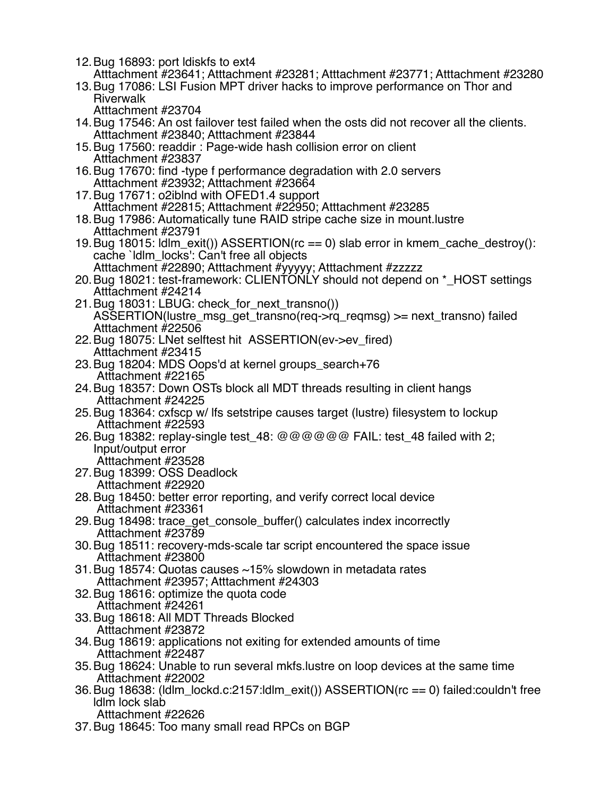- 12.Bug 16893: port ldiskfs to ext4
- Atttachment #23641; Atttachment #23281; Atttachment #23771; Atttachment #23280
- 13.Bug 17086: LSI Fusion MPT driver hacks to improve performance on Thor and Riverwalk
	- Atttachment #23704
- 14.Bug 17546: An ost failover test failed when the osts did not recover all the clients. Atttachment #23840; Atttachment #23844
- 15.Bug 17560: readdir : Page-wide hash collision error on client Atttachment #23837
- 16.Bug 17670: find -type f performance degradation with 2.0 servers Atttachment #23932; Atttachment #23664
- 17.Bug 17671: o2iblnd with OFED1.4 support Atttachment #22815; Atttachment #22950; Atttachment #23285
- 18.Bug 17986: Automatically tune RAID stripe cache size in mount.lustre Atttachment #23791
- 19.Bug 18015: ldlm\_exit()) ASSERTION(rc == 0) slab error in kmem\_cache\_destroy(): cache `ldlm\_locks': Can't free all objects Atttachment #22890; Atttachment #yyyyy; Atttachment #zzzzz
- 20.Bug 18021: test-framework: CLIENTONLY should not depend on \*\_HOST settings Atttachment #24214
- 21.Bug 18031: LBUG: check\_for\_next\_transno()) ASSERTION(lustre\_msg\_get\_transno(req->rq\_reqmsg) >= next\_transno) failed Atttachment #22506
- 22.Bug 18075: LNet selftest hit ASSERTION(ev->ev\_fired) Atttachment #23415
- 23.Bug 18204: MDS Oops'd at kernel groups\_search+76 Atttachment #22165
- 24.Bug 18357: Down OSTs block all MDT threads resulting in client hangs Atttachment #24225
- 25.Bug 18364: cxfscp w/ lfs setstripe causes target (lustre) filesystem to lockup Atttachment #22593
- 26.Bug 18382: replay-single test\_48: @@@@@@ FAIL: test\_48 failed with 2; Input/output error
- Atttachment #23528 27.Bug 18399: OSS Deadlock
	- Atttachment #22920
- 28.Bug 18450: better error reporting, and verify correct local device Atttachment #23361
- 29.Bug 18498: trace\_get\_console\_buffer() calculates index incorrectly Atttachment #23789
- 30.Bug 18511: recovery-mds-scale tar script encountered the space issue Atttachment #23800
- 31.Bug 18574: Quotas causes ~15% slowdown in metadata rates Atttachment #23957; Atttachment #24303
- 32.Bug 18616: optimize the quota code
- Atttachment #24261
- 33.Bug 18618: All MDT Threads Blocked Atttachment #23872
- 34.Bug 18619: applications not exiting for extended amounts of time Atttachment #22487
- 35.Bug 18624: Unable to run several mkfs.lustre on loop devices at the same time Atttachment #22002
- 36.Bug 18638: (ldlm\_lockd.c:2157:ldlm\_exit()) ASSERTION(rc == 0) failed:couldn't free ldlm lock slab
- Atttachment #22626 37.Bug 18645: Too many small read RPCs on BGP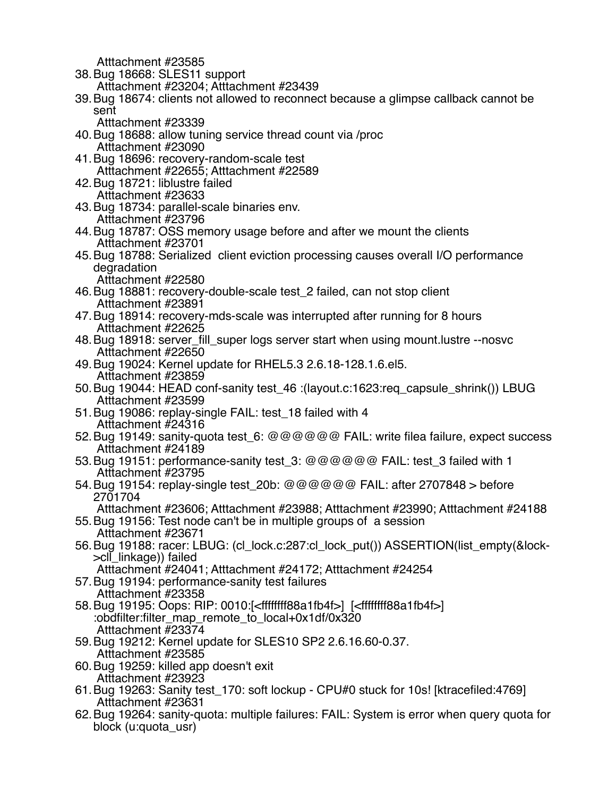Atttachment #23585

- 38.Bug 18668: SLES11 support
	- Atttachment #23204; Atttachment #23439
- 39.Bug 18674: clients not allowed to reconnect because a glimpse callback cannot be sent
	- Atttachment #23339
- 40.Bug 18688: allow tuning service thread count via /proc Atttachment #23090
- 41.Bug 18696: recovery-random-scale test Atttachment #22655; Atttachment #22589
- 42.Bug 18721: liblustre failed
- Atttachment #23633 43.Bug 18734: parallel-scale binaries env.
	- Atttachment #23796
- 44.Bug 18787: OSS memory usage before and after we mount the clients Atttachment #23701
- 45.Bug 18788: Serialized client eviction processing causes overall I/O performance degradation
	- Atttachment #22580
- 46.Bug 18881: recovery-double-scale test\_2 failed, can not stop client Atttachment #23891
- 47.Bug 18914: recovery-mds-scale was interrupted after running for 8 hours Atttachment #22625
- 48.Bug 18918: server\_fill\_super logs server start when using mount.lustre --nosvc Atttachment #22650
- 49.Bug 19024: Kernel update for RHEL5.3 2.6.18-128.1.6.el5. Atttachment #23859
- 50.Bug 19044: HEAD conf-sanity test\_46 :(layout.c:1623:req\_capsule\_shrink()) LBUG Atttachment #23599
- 51.Bug 19086: replay-single FAIL: test\_18 failed with 4 Atttachment #24316
- 52.Bug 19149: sanity-quota test\_6: @@@@@@ FAIL: write filea failure, expect success Atttachment #24189
- 53. Bug 19151: performance-sanity test 3: @@@@@@ FAIL: test 3 failed with 1 Atttachment #23795
- 54.Bug 19154: replay-single test\_20b: @@@@@@ FAIL: after 2707848 > before 2701704
	- Atttachment #23606; Atttachment #23988; Atttachment #23990; Atttachment #24188
- 55.Bug 19156: Test node can't be in multiple groups of a session Atttachment #23671
- 56.Bug 19188: racer: LBUG: (cl\_lock.c:287:cl\_lock\_put()) ASSERTION(list\_empty(&lock- >cll\_linkage)) failed
	- Atttachment #24041; Atttachment #24172; Atttachment #24254
- 57.Bug 19194: performance-sanity test failures Atttachment #23358
- 58.Bug 19195: Oops: RIP: 0010:[<ffffffff88a1fb4f>] [<ffffffff88a1fb4f>] :obdfilter:filter\_map\_remote\_to\_local+0x1df/0x320 Atttachment #23374
- 59.Bug 19212: Kernel update for SLES10 SP2 2.6.16.60-0.37. Atttachment #23585
- 60.Bug 19259: killed app doesn't exit Atttachment #23923
- 61.Bug 19263: Sanity test\_170: soft lockup CPU#0 stuck for 10s! [ktracefiled:4769] Atttachment #23631
- 62.Bug 19264: sanity-quota: multiple failures: FAIL: System is error when query quota for block (u:quota\_usr)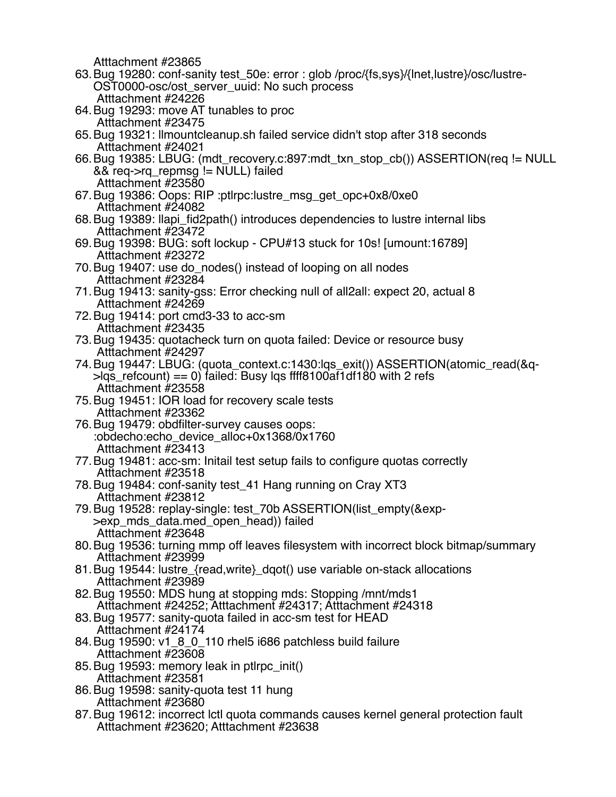Atttachment #23865

- 63.Bug 19280: conf-sanity test\_50e: error : glob /proc/{fs,sys}/{lnet,lustre}/osc/lustre-OST0000-osc/ost\_server\_uuid: No such process Atttachment #24226
- 64.Bug 19293: move AT tunables to proc Atttachment #23475
- 65.Bug 19321: llmountcleanup.sh failed service didn't stop after 318 seconds Atttachment #24021
- 66.Bug 19385: LBUG: (mdt\_recovery.c:897:mdt\_txn\_stop\_cb()) ASSERTION(req != NULL && req->rq\_repmsg != NULL) failed Atttachment #23580
- 67.Bug 19386: Oops: RIP :ptlrpc:lustre\_msg\_get\_opc+0x8/0xe0 Atttachment #24082
- 68.Bug 19389: llapi\_fid2path() introduces dependencies to lustre internal libs Atttachment #23472
- 69.Bug 19398: BUG: soft lockup CPU#13 stuck for 10s! [umount:16789] Atttachment #23272
- 70.Bug 19407: use do\_nodes() instead of looping on all nodes Atttachment #23284
- 71.Bug 19413: sanity-gss: Error checking null of all2all: expect 20, actual 8 Atttachment #24269
- 72.Bug 19414: port cmd3-33 to acc-sm Atttachment #23435
- 73.Bug 19435: quotacheck turn on quota failed: Device or resource busy Atttachment #24297
- 74.Bug 19447: LBUG: (quota\_context.c:1430:lqs\_exit()) ASSERTION(atomic\_read(&q- >lqs\_refcount) == 0) failed: Busy lqs ffff8100af1df180 with 2 refs Atttachment #23558
- 75.Bug 19451: IOR load for recovery scale tests Atttachment #23362
- 76.Bug 19479: obdfilter-survey causes oops: :obdecho:echo\_device\_alloc+0x1368/0x1760 Atttachment #23413
- 77.Bug 19481: acc-sm: Initail test setup fails to configure quotas correctly Atttachment #23518
- 78.Bug 19484: conf-sanity test\_41 Hang running on Cray XT3 Atttachment #23812
- 79.Bug 19528: replay-single: test\_70b ASSERTION(list\_empty(&exp- >exp\_mds\_data.med\_open\_head)) failed Atttachment #23648
- 80.Bug 19536: turning mmp off leaves filesystem with incorrect block bitmap/summary Atttachment #23999
- 81.Bug 19544: lustre\_{read,write}\_dqot() use variable on-stack allocations Atttachment #23989
- 82.Bug 19550: MDS hung at stopping mds: Stopping /mnt/mds1 Atttachment #24252; Atttachment #24317; Atttachment #24318
- 83.Bug 19577: sanity-quota failed in acc-sm test for HEAD Atttachment #24174
- 84.Bug 19590: v1\_8\_0\_110 rhel5 i686 patchless build failure Atttachment #23608
- 85.Bug 19593: memory leak in ptlrpc\_init() Atttachment #23581
- 86.Bug 19598: sanity-quota test 11 hung Atttachment #23680
- 87.Bug 19612: incorrect lctl quota commands causes kernel general protection fault Atttachment #23620; Atttachment #23638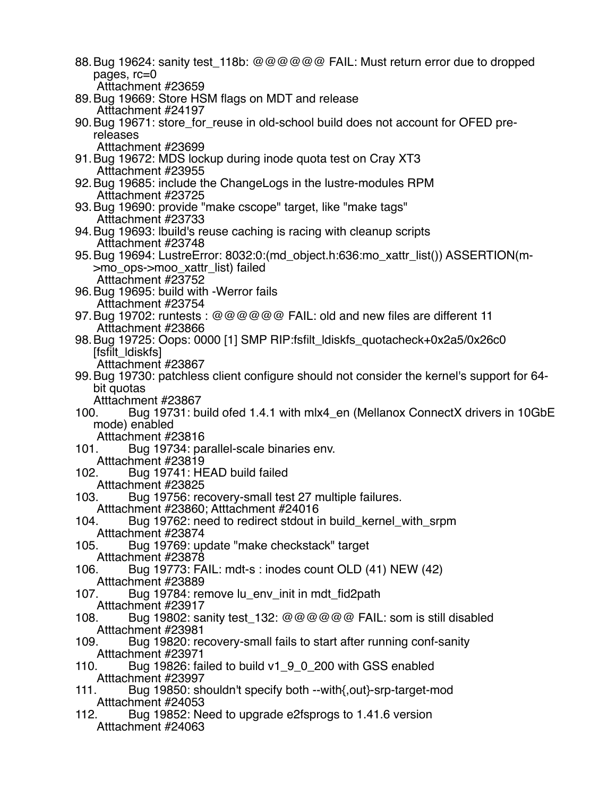88.Bug 19624: sanity test\_118b: @@@@@@ FAIL: Must return error due to dropped pages, rc=0 Atttachment #23659 89.Bug 19669: Store HSM flags on MDT and release Atttachment #24197 90. Bug 19671: store for reuse in old-school build does not account for OFED prereleases Atttachment #23699 91.Bug 19672: MDS lockup during inode quota test on Cray XT3 Atttachment #23955 92.Bug 19685: include the ChangeLogs in the lustre-modules RPM Atttachment #23725 93.Bug 19690: provide "make cscope" target, like "make tags" Atttachment #23733 94.Bug 19693: lbuild's reuse caching is racing with cleanup scripts Atttachment #23748 95.Bug 19694: LustreError: 8032:0:(md\_object.h:636:mo\_xattr\_list()) ASSERTION(m- >mo\_ops->moo\_xattr\_list) failed Atttachment #23752 96.Bug 19695: build with -Werror fails Atttachment #23754 97.Bug 19702: runtests : @@@@@@ FAIL: old and new files are different 11 Atttachment #23866 98.Bug 19725: Oops: 0000 [1] SMP RIP:fsfilt\_ldiskfs\_quotacheck+0x2a5/0x26c0 [fsfilt\_ldiskfs] Atttachment #23867 99.Bug 19730: patchless client configure should not consider the kernel's support for 64 bit quotas Atttachment #23867 100. Bug 19731: build ofed 1.4.1 with mlx4\_en (Mellanox ConnectX drivers in 10GbE mode) enabled Atttachment #23816 101. Bug 19734: parallel-scale binaries env. Atttachment #23819<br>102. Bug 19741: HE Bug 19741: HEAD build failed Atttachment #23825 103. Bug 19756: recovery-small test 27 multiple failures. Atttachment #23860; Atttachment #24016 104. Bug 19762: need to redirect stdout in build\_kernel\_with\_srpm Atttachment #23874 105. Bug 19769: update "make checkstack" target Atttachment #23878 106. Bug 19773: FAIL: mdt-s : inodes count OLD (41) NEW (42) Atttachment #23889 107. Bug 19784: remove lu\_env\_init in mdt\_fid2path Atttachment #23917 108. Bug 19802: sanity test  $132: @@@@@$  FAIL: som is still disabled Atttachment #23981 109. Bug 19820: recovery-small fails to start after running conf-sanity Atttachment #23971 110. Bug 19826: failed to build v1\_9\_0\_200 with GSS enabled Atttachment #23997 111. Bug 19850: shouldn't specify both --with{,out}-srp-target-mod Atttachment #24053 112. Bug 19852: Need to upgrade e2fsprogs to 1.41.6 version Atttachment #24063